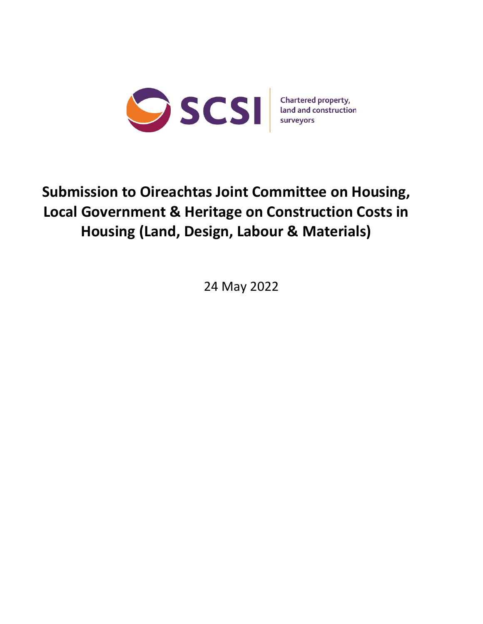

# **Submission to Oireachtas Joint Committee on Housing, Local Government & Heritage on Construction Costs in Housing (Land, Design, Labour & Materials)**

24 May 2022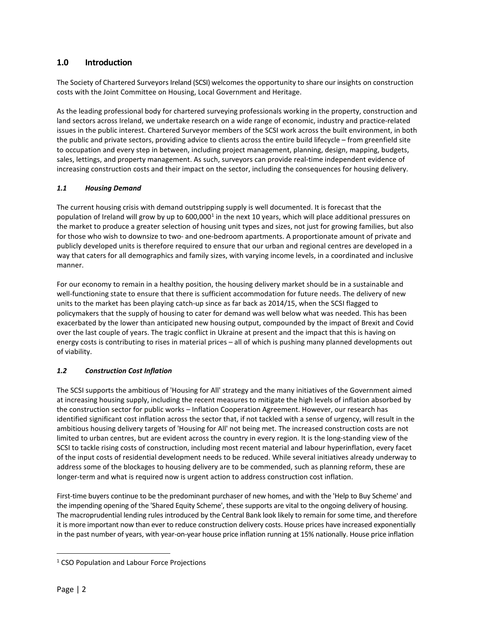# **1.0 Introduction**

The Society of Chartered Surveyors Ireland (SCSI) welcomes the opportunity to share our insights on construction costs with the Joint Committee on Housing, Local Government and Heritage.

As the leading professional body for chartered surveying professionals working in the property, construction and land sectors across Ireland, we undertake research on a wide range of economic, industry and practice-related issues in the public interest. Chartered Surveyor members of the SCSI work across the built environment, in both the public and private sectors, providing advice to clients across the entire build lifecycle – from greenfield site to occupation and every step in between, including project management, planning, design, mapping, budgets, sales, lettings, and property management. As such, surveyors can provide real-time independent evidence of increasing construction costs and their impact on the sector, including the consequences for housing delivery.

## *1.1 Housing Demand*

The current housing crisis with demand outstripping supply is well documented. It is forecast that the population of Ireland will grow by up to 600,000<sup>[1](#page-1-0)</sup> in the next 10 years, which will place additional pressures on the market to produce a greater selection of housing unit types and sizes, not just for growing families, but also for those who wish to downsize to two- and one-bedroom apartments. A proportionate amount of private and publicly developed units is therefore required to ensure that our urban and regional centres are developed in a way that caters for all demographics and family sizes, with varying income levels, in a coordinated and inclusive manner.

For our economy to remain in a healthy position, the housing delivery market should be in a sustainable and well-functioning state to ensure that there is sufficient accommodation for future needs. The delivery of new units to the market has been playing catch-up since as far back as 2014/15, when the SCSI flagged to policymakers that the supply of housing to cater for demand was well below what was needed. This has been exacerbated by the lower than anticipated new housing output, compounded by the impact of Brexit and Covid over the last couple of years. The tragic conflict in Ukraine at present and the impact that this is having on energy costs is contributing to rises in material prices – all of which is pushing many planned developments out of viability.

## *1.2 Construction Cost Inflation*

The SCSI supports the ambitious of 'Housing for All' strategy and the many initiatives of the Government aimed at increasing housing supply, including the recent measures to mitigate the high levels of inflation absorbed by the construction sector for public works – Inflation Cooperation Agreement. However, our research has identified significant cost inflation across the sector that, if not tackled with a sense of urgency, will result in the ambitious housing delivery targets of 'Housing for All' not being met. The increased construction costs are not limited to urban centres, but are evident across the country in every region. It is the long-standing view of the SCSI to tackle rising costs of construction, including most recent material and labour hyperinflation, every facet of the input costs of residential development needs to be reduced. While several initiatives already underway to address some of the blockages to housing delivery are to be commended, such as planning reform, these are longer-term and what is required now is urgent action to address construction cost inflation.

First-time buyers continue to be the predominant purchaser of new homes, and with the 'Help to Buy Scheme' and the impending opening of the 'Shared Equity Scheme', these supports are vital to the ongoing delivery of housing. The macroprudential lending rules introduced by the Central Bank look likely to remain for some time, and therefore it is more important now than ever to reduce construction delivery costs. House prices have increased exponentially in the past number of years, with year-on-year house price inflation running at 15% nationally. House price inflation

<span id="page-1-0"></span><sup>&</sup>lt;sup>1</sup> CSO Population and Labour Force Projections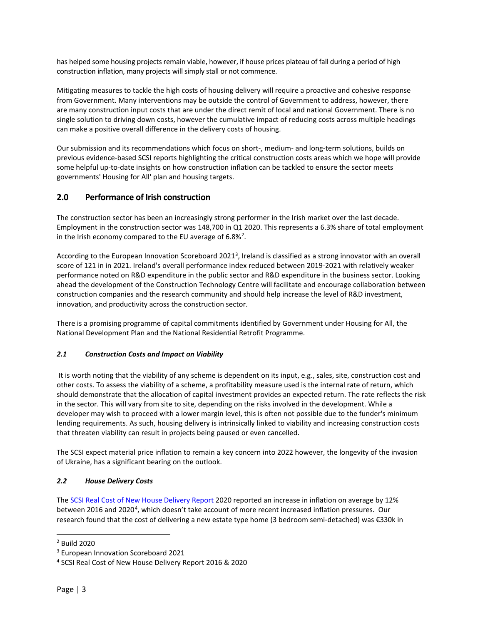has helped some housing projects remain viable, however, if house prices plateau of fall during a period of high construction inflation, many projects will simply stall or not commence.

Mitigating measures to tackle the high costs of housing delivery will require a proactive and cohesive response from Government. Many interventions may be outside the control of Government to address, however, there are many construction input costs that are under the direct remit of local and national Government. There is no single solution to driving down costs, however the cumulative impact of reducing costs across multiple headings can make a positive overall difference in the delivery costs of housing.

Our submission and its recommendations which focus on short-, medium- and long-term solutions, builds on previous evidence-based SCSI reports highlighting the critical construction costs areas which we hope will provide some helpful up-to-date insights on how construction inflation can be tackled to ensure the sector meets governments' Housing for All' plan and housing targets.

# **2.0 Performance of Irish construction**

The construction sector has been an increasingly strong performer in the Irish market over the last decade. Employment in the construction sector was 148,700 in Q1 2020. This represents a 6.3% share of total employment in the Irish economy compared to the EU average of  $6.8\%^2$  $6.8\%^2$ .

According to the European Innovation Scoreboard 2021<sup>[3](#page-2-1)</sup>, Ireland is classified as a strong innovator with an overall score of 121 in in 2021. Ireland's overall performance index reduced between 2019-2021 with relatively weaker performance noted on R&D expenditure in the public sector and R&D expenditure in the business sector. Looking ahead the development of the Construction Technology Centre will facilitate and encourage collaboration between construction companies and the research community and should help increase the level of R&D investment, innovation, and productivity across the construction sector.

There is a promising programme of capital commitments identified by Government under Housing for All, the National Development Plan and the National Residential Retrofit Programme.

## *2.1 Construction Costs and Impact on Viability*

It is worth noting that the viability of any scheme is dependent on its input, e.g., sales, site, construction cost and other costs. To assess the viability of a scheme, a profitability measure used is the internal rate of return, which should demonstrate that the allocation of capital investment provides an expected return. The rate reflects the risk in the sector. This will vary from site to site, depending on the risks involved in the development. While a developer may wish to proceed with a lower margin level, this is often not possible due to the funder's minimum lending requirements. As such, housing delivery is intrinsically linked to viability and increasing construction costs that threaten viability can result in projects being paused or even cancelled.

The SCSI expect material price inflation to remain a key concern into 2022 however, the longevity of the invasion of Ukraine, has a significant bearing on the outlook.

## *2.2 House Delivery Costs*

Th[e SCSI Real Cost of New House Delivery Report](https://scsi.ie/wp-content/uploads/2020/11/SCSI-Real-Cost-of-New-Housing-Delivery-Report-2020_compressed-1.pdf) 2020 reported an increase in inflation on average by 12% between 2016 and 2020<sup>[4](#page-2-2)</sup>, which doesn't take account of more recent increased inflation pressures. Our research found that the cost of delivering a new estate type home (3 bedroom semi-detached) was €330k in

<span id="page-2-0"></span><sup>2</sup> Build 2020

<span id="page-2-1"></span><sup>3</sup> European Innovation Scoreboard 2021

<span id="page-2-2"></span><sup>4</sup> SCSI Real Cost of New House Delivery Report 2016 & 2020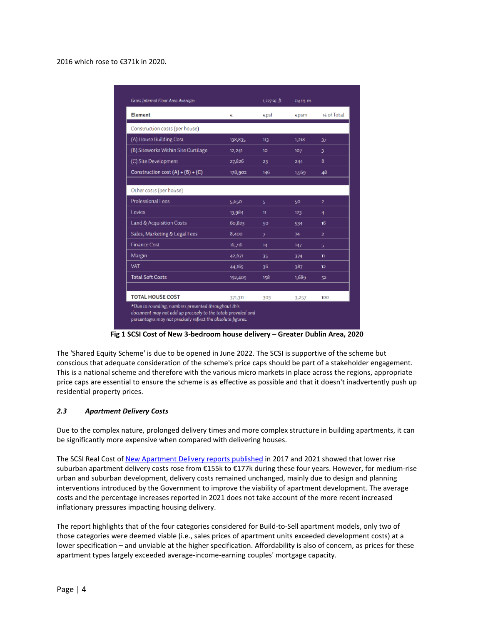#### 2016 which rose to €371k in 2020.

| <b>Element</b>                      | €       | $\epsilon$ psf | €psm  | % of Total     |
|-------------------------------------|---------|----------------|-------|----------------|
| Construction costs (per house)      |         |                |       |                |
| (A) House Building Cost             | 138,835 | 113            | 1,218 | 31             |
| (B) Siteworks Within Site Curtilage | 12,241  | 10             | 107   | 3.             |
| (C) Site Development                | 27,826  | 23             | 244   | 8              |
| Construction cost $(A) + (B) + (C)$ | 178,902 | 146            | 1,569 | 48             |
|                                     |         |                |       |                |
| Other costs (per house)             |         |                |       |                |
| Professional Fees                   | 5,650   | 5              | 50    | $\overline{a}$ |
| Levies                              | 13,984  | $\mathbf{u}$   | 123   | $\overline{4}$ |
| Land & Acquisition Costs            | 60,823  | 50             | 534   | 16             |
| Sales, Marketing & Legal Fees       | 8,400   | 7              | 74    | $\overline{a}$ |
| <b>Finance Cost</b>                 | 16,716  | 14             | 147   | 5.             |
| Margin                              | 42,671  | 35             | 374   | m.             |
| <b>VAT</b>                          | 44,165  | 36             | 387   | 12             |
| <b>Total Soft Costs</b>             | 192,409 | 158            | 1,689 | 52             |
| <b>TOTAL HOUSE COST</b>             | 371,311 | 303            | 3,257 | 100            |

**Fig 1 SCSI Cost of New 3-bedroom house delivery – Greater Dublin Area, 2020**

The 'Shared Equity Scheme' is due to be opened in June 2022. The SCSI is supportive of the scheme but conscious that adequate consideration of the scheme's price caps should be part of a stakeholder engagement. This is a national scheme and therefore with the various micro markets in place across the regions, appropriate price caps are essential to ensure the scheme is as effective as possible and that it doesn't inadvertently push up residential property prices.

#### *2.3 Apartment Delivery Costs*

Due to the complex nature, prolonged delivery times and more complex structure in building apartments, it can be significantly more expensive when compared with delivering houses.

The SCSI Real Cost of [New Apartment Delivery r](https://scsi.ie/wp-content/uploads/2021/01/SCSI_RealCostofNewApartmentDelivery_final.pdf)eports published in 2017 and 2021 showed that lower rise suburban apartment delivery costs rose from €155k to €177k during these four years. However, for medium-rise urban and suburban development, delivery costs remained unchanged, mainly due to design and planning interventions introduced by the Government to improve the viability of apartment development. The average costs and the percentage increases reported in 2021 does not take account of the more recent increased inflationary pressures impacting housing delivery.

The report highlights that of the four categories considered for Build-to-Sell apartment models, only two of those categories were deemed viable (i.e., sales prices of apartment units exceeded development costs) at a lower specification – and unviable at the higher specification. Affordability is also of concern, as prices for these apartment types largely exceeded average-income-earning couples' mortgage capacity.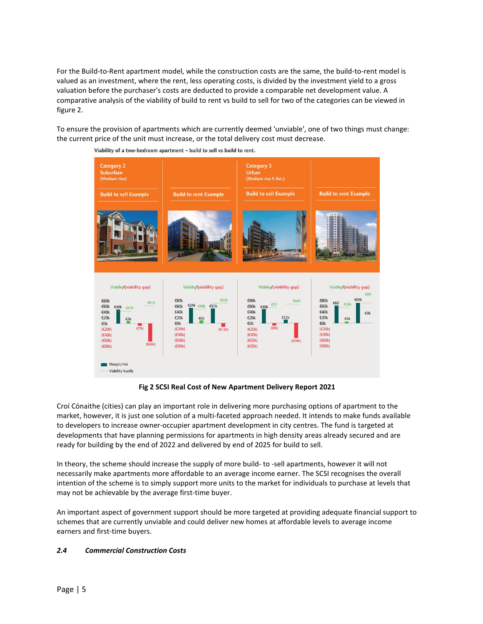For the Build-to-Rent apartment model, while the construction costs are the same, the build-to-rent model is valued as an investment, where the rent, less operating costs, is divided by the investment yield to a gross valuation before the purchaser's costs are deducted to provide a comparable net development value. A comparative analysis of the viability of build to rent vs build to sell for two of the categories can be viewed in figure 2.

To ensure the provision of apartments which are currently deemed 'unviable', one of two things must change: the current price of the unit must increase, or the total delivery cost must decrease.



Viability of a two-bedroom apartment - build to sell vs build to rent.

**Fig 2 SCSI Real Cost of New Apartment Delivery Report 2021**

Croí Cónaithe (cities) can play an important role in delivering more purchasing options of apartment to the market, however, it is just one solution of a multi-faceted approach needed. It intends to make funds available to developers to increase owner-occupier apartment development in city centres. The fund is targeted at developments that have planning permissions for apartments in high density areas already secured and are ready for building by the end of 2022 and delivered by end of 2025 for build to sell.

In theory, the scheme should increase the supply of more build- to -sell apartments, however it will not necessarily make apartments more affordable to an average income earner. The SCSI recognises the overall intention of the scheme is to simply support more units to the market for individuals to purchase at levels that may not be achievable by the average first-time buyer.

An important aspect of government support should be more targeted at providing adequate financial support to schemes that are currently unviable and could deliver new homes at affordable levels to average income earners and first-time buyers.

#### *2.4 Commercial Construction Costs*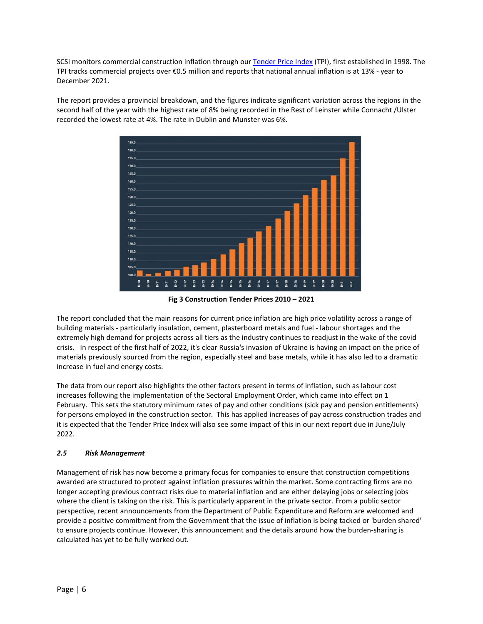SCSI monitors commercial construction inflation through our [Tender Price Index](https://scsi.ie/wp-content/uploads/2022/04/SCSI_TenderPriceIndex_2022_Apr.pdf) (TPI), first established in 1998. The TPI tracks commercial projects over €0.5 million and reports that national annual inflation is at 13% - year to December 2021.

The report provides a provincial breakdown, and the figures indicate significant variation across the regions in the second half of the year with the highest rate of 8% being recorded in the Rest of Leinster while Connacht /Ulster recorded the lowest rate at 4%. The rate in Dublin and Munster was 6%.



**Fig 3 Construction Tender Prices 2010 – 2021**

The report concluded that the main reasons for current price inflation are high price volatility across a range of building materials - particularly insulation, cement, plasterboard metals and fuel - labour shortages and the extremely high demand for projects across all tiers as the industry continues to readjust in the wake of the covid crisis. In respect of the first half of 2022, it's clear Russia's invasion of Ukraine is having an impact on the price of materials previously sourced from the region, especially steel and base metals, while it has also led to a dramatic increase in fuel and energy costs.

The data from our report also highlights the other factors present in terms of inflation, such as labour cost increases following the implementation of the Sectoral Employment Order, which came into effect on 1 February. This sets the statutory minimum rates of pay and other conditions (sick pay and pension entitlements) for persons employed in the construction sector. This has applied increases of pay across construction trades and it is expected that the Tender Price Index will also see some impact of this in our next report due in June/July 2022.

## *2.5 Risk Management*

Management of risk has now become a primary focus for companies to ensure that construction competitions awarded are structured to protect against inflation pressures within the market. Some contracting firms are no longer accepting previous contract risks due to material inflation and are either delaying jobs or selecting jobs where the client is taking on the risk. This is particularly apparent in the private sector. From a public sector perspective, recent announcements from the Department of Public Expenditure and Reform are welcomed and provide a positive commitment from the Government that the issue of inflation is being tacked or 'burden shared' to ensure projects continue. However, this announcement and the details around how the burden-sharing is calculated has yet to be fully worked out.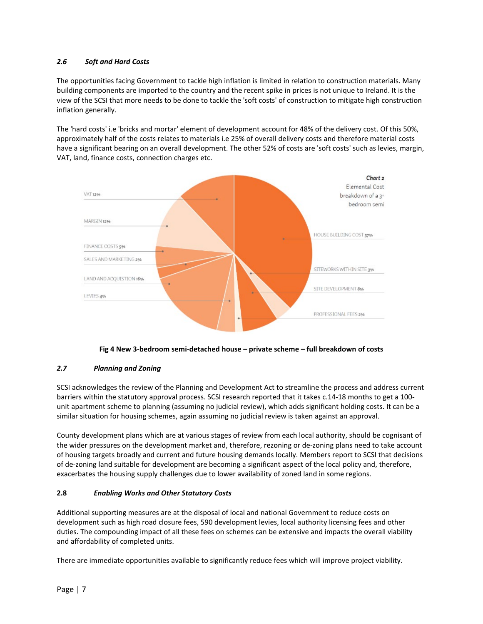## *2.6 Soft and Hard Costs*

The opportunities facing Government to tackle high inflation is limited in relation to construction materials. Many building components are imported to the country and the recent spike in prices is not unique to Ireland. It is the view of the SCSI that more needs to be done to tackle the 'soft costs' of construction to mitigate high construction inflation generally.

The 'hard costs' i.e 'bricks and mortar' element of development account for 48% of the delivery cost. Of this 50%, approximately half of the costs relates to materials i.e 25% of overall delivery costs and therefore material costs have a significant bearing on an overall development. The other 52% of costs are 'soft costs' such as levies, margin, VAT, land, finance costs, connection charges etc.



**Fig 4 New 3-bedroom semi-detached house – private scheme – full breakdown of costs**

## *2.7 Planning and Zoning*

SCSI acknowledges the review of the Planning and Development Act to streamline the process and address current barriers within the statutory approval process. SCSI research reported that it takes c.14-18 months to get a 100 unit apartment scheme to planning (assuming no judicial review), which adds significant holding costs. It can be a similar situation for housing schemes, again assuming no judicial review is taken against an approval.

County development plans which are at various stages of review from each local authority, should be cognisant of the wider pressures on the development market and, therefore, rezoning or de-zoning plans need to take account of housing targets broadly and current and future housing demands locally. Members report to SCSI that decisions of de-zoning land suitable for development are becoming a significant aspect of the local policy and, therefore, exacerbates the housing supply challenges due to lower availability of zoned land in some regions.

## **2.8** *Enabling Works and Other Statutory Costs*

Additional supporting measures are at the disposal of local and national Government to reduce costs on development such as high road closure fees, 590 development levies, local authority licensing fees and other duties. The compounding impact of all these fees on schemes can be extensive and impacts the overall viability and affordability of completed units.

There are immediate opportunities available to significantly reduce fees which will improve project viability.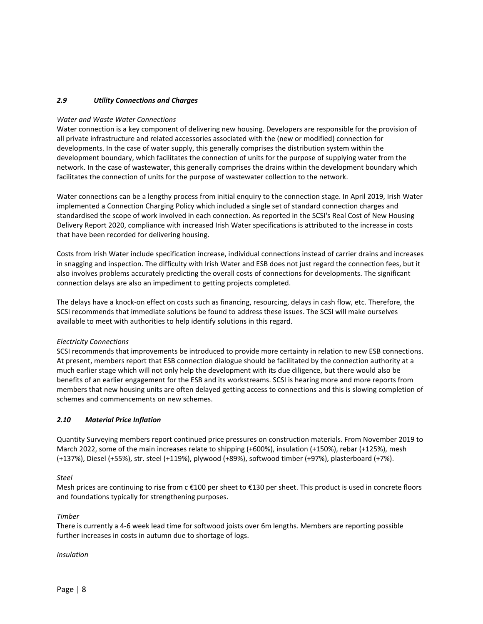## *2.9 Utility Connections and Charges*

#### *Water and Waste Water Connections*

Water connection is a key component of delivering new housing. Developers are responsible for the provision of all private infrastructure and related accessories associated with the (new or modified) connection for developments. In the case of water supply, this generally comprises the distribution system within the development boundary, which facilitates the connection of units for the purpose of supplying water from the network. In the case of wastewater, this generally comprises the drains within the development boundary which facilitates the connection of units for the purpose of wastewater collection to the network.

Water connections can be a lengthy process from initial enquiry to the connection stage. In April 2019, Irish Water implemented a Connection Charging Policy which included a single set of standard connection charges and standardised the scope of work involved in each connection. As reported in the SCSI's Real Cost of New Housing Delivery Report 2020, compliance with increased Irish Water specifications is attributed to the increase in costs that have been recorded for delivering housing.

Costs from Irish Water include specification increase, individual connections instead of carrier drains and increases in snagging and inspection. The difficulty with Irish Water and ESB does not just regard the connection fees, but it also involves problems accurately predicting the overall costs of connections for developments. The significant connection delays are also an impediment to getting projects completed.

The delays have a knock-on effect on costs such as financing, resourcing, delays in cash flow, etc. Therefore, the SCSI recommends that immediate solutions be found to address these issues. The SCSI will make ourselves available to meet with authorities to help identify solutions in this regard.

#### *Electricity Connections*

SCSI recommends that improvements be introduced to provide more certainty in relation to new ESB connections. At present, members report that ESB connection dialogue should be facilitated by the connection authority at a much earlier stage which will not only help the development with its due diligence, but there would also be benefits of an earlier engagement for the ESB and its workstreams. SCSI is hearing more and more reports from members that new housing units are often delayed getting access to connections and this is slowing completion of schemes and commencements on new schemes.

## *2.10 Material Price Inflation*

Quantity Surveying members report continued price pressures on construction materials. From November 2019 to March 2022, some of the main increases relate to shipping (+600%), insulation (+150%), rebar (+125%), mesh (+137%), Diesel (+55%), str. steel (+119%), plywood (+89%), softwood timber (+97%), plasterboard (+7%).

#### *Steel*

Mesh prices are continuing to rise from c €100 per sheet to €130 per sheet. This product is used in concrete floors and foundations typically for strengthening purposes.

#### *Timber*

There is currently a 4-6 week lead time for softwood joists over 6m lengths. Members are reporting possible further increases in costs in autumn due to shortage of logs.

#### *Insulation*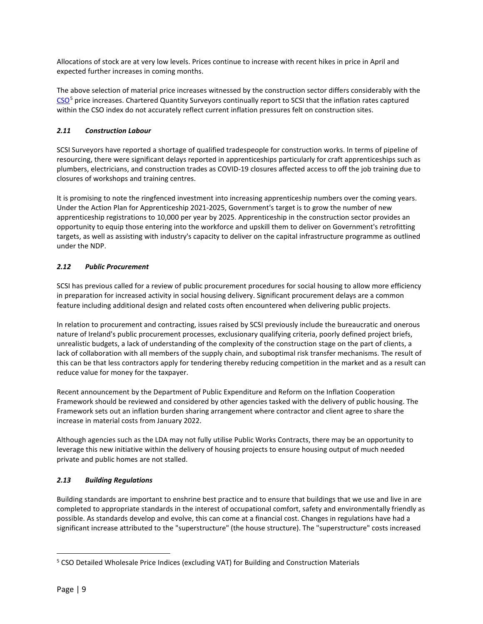Allocations of stock are at very low levels. Prices continue to increase with recent hikes in price in April and expected further increases in coming months.

The above selection of material price increases witnessed by the construction sector differs considerably with the [CSO](https://www.cso.ie/en/releasesandpublications/er/wpi/wholesalepriceindexmarch2022/)<sup>[5](#page-8-0)</sup> price increases. Chartered Quantity Surveyors continually report to SCSI that the inflation rates captured within the CSO index do not accurately reflect current inflation pressures felt on construction sites.

## *2.11 Construction Labour*

SCSI Surveyors have reported a shortage of qualified tradespeople for construction works. In terms of pipeline of resourcing, there were significant delays reported in apprenticeships particularly for craft apprenticeships such as plumbers, electricians, and construction trades as COVID-19 closures affected access to off the job training due to closures of workshops and training centres.

It is promising to note the ringfenced investment into increasing apprenticeship numbers over the coming years. Under the Action Plan for Apprenticeship 2021-2025, Government's target is to grow the number of new apprenticeship registrations to 10,000 per year by 2025. Apprenticeship in the construction sector provides an opportunity to equip those entering into the workforce and upskill them to deliver on Government's retrofitting targets, as well as assisting with industry's capacity to deliver on the capital infrastructure programme as outlined under the NDP.

## *2.12 Public Procurement*

SCSI has previous called for a review of public procurement procedures for social housing to allow more efficiency in preparation for increased activity in social housing delivery. Significant procurement delays are a common feature including additional design and related costs often encountered when delivering public projects.

In relation to procurement and contracting, issues raised by SCSI previously include the bureaucratic and onerous nature of Ireland's public procurement processes, exclusionary qualifying criteria, poorly defined project briefs, unrealistic budgets, a lack of understanding of the complexity of the construction stage on the part of clients, a lack of collaboration with all members of the supply chain, and suboptimal risk transfer mechanisms. The result of this can be that less contractors apply for tendering thereby reducing competition in the market and as a result can reduce value for money for the taxpayer.

Recent announcement by the Department of Public Expenditure and Reform on the Inflation Cooperation Framework should be reviewed and considered by other agencies tasked with the delivery of public housing. The Framework sets out an inflation burden sharing arrangement where contractor and client agree to share the increase in material costs from January 2022.

Although agencies such as the LDA may not fully utilise Public Works Contracts, there may be an opportunity to leverage this new initiative within the delivery of housing projects to ensure housing output of much needed private and public homes are not stalled.

## *2.13 Building Regulations*

Building standards are important to enshrine best practice and to ensure that buildings that we use and live in are completed to appropriate standards in the interest of occupational comfort, safety and environmentally friendly as possible. As standards develop and evolve, this can come at a financial cost. Changes in regulations have had a significant increase attributed to the "superstructure" (the house structure). The "superstructure" costs increased

<span id="page-8-0"></span><sup>&</sup>lt;sup>5</sup> CSO Detailed Wholesale Price Indices (excluding VAT) for Building and Construction Materials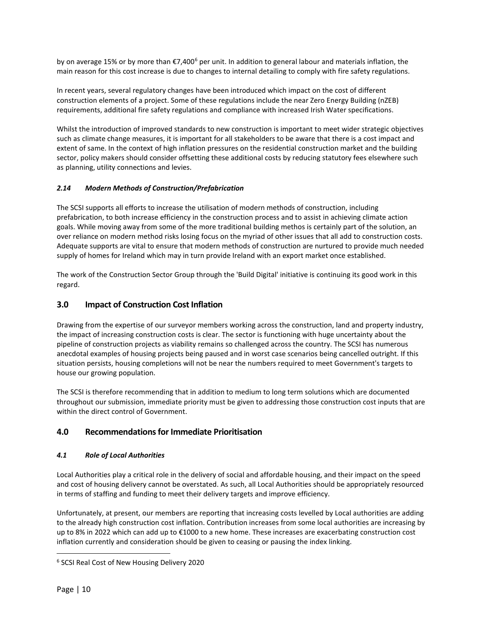by on average 15% or by more than  $\epsilon$ 7,400<sup>[6](#page-9-0)</sup> per unit. In addition to general labour and materials inflation, the main reason for this cost increase is due to changes to internal detailing to comply with fire safety regulations.

In recent years, several regulatory changes have been introduced which impact on the cost of different construction elements of a project. Some of these regulations include the near Zero Energy Building (nZEB) requirements, additional fire safety regulations and compliance with increased Irish Water specifications.

Whilst the introduction of improved standards to new construction is important to meet wider strategic objectives such as climate change measures, it is important for all stakeholders to be aware that there is a cost impact and extent of same. In the context of high inflation pressures on the residential construction market and the building sector, policy makers should consider offsetting these additional costs by reducing statutory fees elsewhere such as planning, utility connections and levies.

## *2.14 Modern Methods of Construction/Prefabrication*

The SCSI supports all efforts to increase the utilisation of modern methods of construction, including prefabrication, to both increase efficiency in the construction process and to assist in achieving climate action goals. While moving away from some of the more traditional building methos is certainly part of the solution, an over reliance on modern method risks losing focus on the myriad of other issues that all add to construction costs. Adequate supports are vital to ensure that modern methods of construction are nurtured to provide much needed supply of homes for Ireland which may in turn provide Ireland with an export market once established.

The work of the Construction Sector Group through the 'Build Digital' initiative is continuing its good work in this regard.

# **3.0 Impact of Construction Cost Inflation**

Drawing from the expertise of our surveyor members working across the construction, land and property industry, the impact of increasing construction costs is clear. The sector is functioning with huge uncertainty about the pipeline of construction projects as viability remains so challenged across the country. The SCSI has numerous anecdotal examples of housing projects being paused and in worst case scenarios being cancelled outright. If this situation persists, housing completions will not be near the numbers required to meet Government's targets to house our growing population.

The SCSI is therefore recommending that in addition to medium to long term solutions which are documented throughout our submission, immediate priority must be given to addressing those construction cost inputs that are within the direct control of Government.

# **4.0 Recommendations for Immediate Prioritisation**

## *4.1 Role of Local Authorities*

Local Authorities play a critical role in the delivery of social and affordable housing, and their impact on the speed and cost of housing delivery cannot be overstated. As such, all Local Authorities should be appropriately resourced in terms of staffing and funding to meet their delivery targets and improve efficiency.

Unfortunately, at present, our members are reporting that increasing costs levelled by Local authorities are adding to the already high construction cost inflation. Contribution increases from some local authorities are increasing by up to 8% in 2022 which can add up to €1000 to a new home. These increases are exacerbating construction cost inflation currently and consideration should be given to ceasing or pausing the index linking.

<span id="page-9-0"></span><sup>6</sup> SCSI Real Cost of New Housing Delivery 2020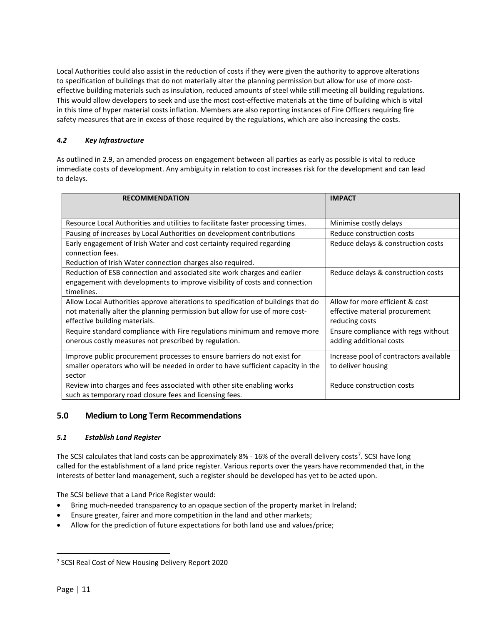Local Authorities could also assist in the reduction of costs if they were given the authority to approve alterations to specification of buildings that do not materially alter the planning permission but allow for use of more costeffective building materials such as insulation, reduced amounts of steel while still meeting all building regulations. This would allow developers to seek and use the most cost-effective materials at the time of building which is vital in this time of hyper material costs inflation. Members are also reporting instances of Fire Officers requiring fire safety measures that are in excess of those required by the regulations, which are also increasing the costs.

# *4.2 Key Infrastructure*

As outlined in 2.9, an amended process on engagement between all parties as early as possible is vital to reduce immediate costs of development. Any ambiguity in relation to cost increases risk for the development and can lead to delays.

| <b>RECOMMENDATION</b>                                                                                                             | <b>IMPACT</b>                          |  |
|-----------------------------------------------------------------------------------------------------------------------------------|----------------------------------------|--|
| Resource Local Authorities and utilities to facilitate faster processing times.                                                   | Minimise costly delays                 |  |
| Pausing of increases by Local Authorities on development contributions                                                            | Reduce construction costs              |  |
| Early engagement of Irish Water and cost certainty required regarding                                                             | Reduce delays & construction costs     |  |
| connection fees.                                                                                                                  |                                        |  |
| Reduction of Irish Water connection charges also required.                                                                        |                                        |  |
| Reduction of ESB connection and associated site work charges and earlier                                                          | Reduce delays & construction costs     |  |
| engagement with developments to improve visibility of costs and connection                                                        |                                        |  |
| timelines.                                                                                                                        |                                        |  |
| Allow Local Authorities approve alterations to specification of buildings that do                                                 | Allow for more efficient & cost        |  |
| not materially alter the planning permission but allow for use of more cost-                                                      | effective material procurement         |  |
| effective building materials.                                                                                                     | reducing costs                         |  |
| Require standard compliance with Fire regulations minimum and remove more                                                         | Ensure compliance with regs without    |  |
| onerous costly measures not prescribed by regulation.                                                                             | adding additional costs                |  |
| Improve public procurement processes to ensure barriers do not exist for                                                          | Increase pool of contractors available |  |
| smaller operators who will be needed in order to have sufficient capacity in the                                                  | to deliver housing                     |  |
| sector                                                                                                                            |                                        |  |
| Review into charges and fees associated with other site enabling works<br>such as temporary road closure fees and licensing fees. | Reduce construction costs              |  |

## **5.0 Medium to Long Term Recommendations**

## *5.1 Establish Land Register*

The SCSI calculates that land costs can be approximately 8% - 16% of the overall delivery costs<sup>[7](#page-10-0)</sup>. SCSI have long called for the establishment of a land price register. Various reports over the years have recommended that, in the interests of better land management, such a register should be developed has yet to be acted upon.

The SCSI believe that a Land Price Register would:

- Bring much-needed transparency to an opaque section of the property market in Ireland;
- Ensure greater, fairer and more competition in the land and other markets;
- Allow for the prediction of future expectations for both land use and values/price;

<span id="page-10-0"></span><sup>7</sup> SCSI Real Cost of New Housing Delivery Report 2020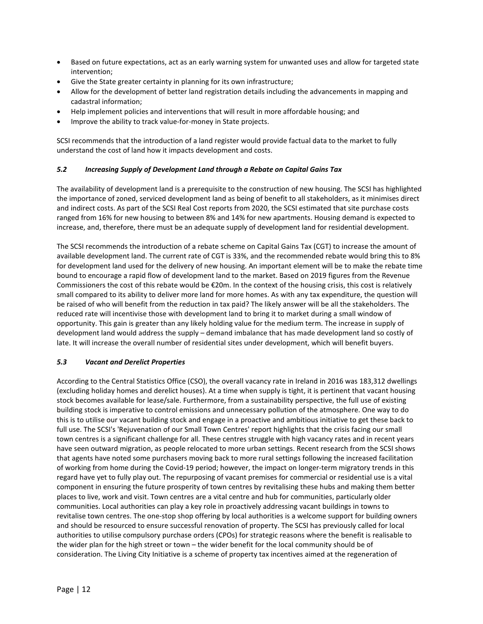- Based on future expectations, act as an early warning system for unwanted uses and allow for targeted state intervention;
- Give the State greater certainty in planning for its own infrastructure;
- Allow for the development of better land registration details including the advancements in mapping and cadastral information;
- Help implement policies and interventions that will result in more affordable housing; and
- Improve the ability to track value-for-money in State projects.

SCSI recommends that the introduction of a land register would provide factual data to the market to fully understand the cost of land how it impacts development and costs.

## *5.2 Increasing Supply of Development Land through a Rebate on Capital Gains Tax*

The availability of development land is a prerequisite to the construction of new housing. The SCSI has highlighted the importance of zoned, serviced development land as being of benefit to all stakeholders, as it minimises direct and indirect costs. As part of the SCSI Real Cost reports from 2020, the SCSI estimated that site purchase costs ranged from 16% for new housing to between 8% and 14% for new apartments. Housing demand is expected to increase, and, therefore, there must be an adequate supply of development land for residential development.

The SCSI recommends the introduction of a rebate scheme on Capital Gains Tax (CGT) to increase the amount of available development land. The current rate of CGT is 33%, and the recommended rebate would bring this to 8% for development land used for the delivery of new housing. An important element will be to make the rebate time bound to encourage a rapid flow of development land to the market. Based on 2019 figures from the Revenue Commissioners the cost of this rebate would be €20m. In the context of the housing crisis, this cost is relatively small compared to its ability to deliver more land for more homes. As with any tax expenditure, the question will be raised of who will benefit from the reduction in tax paid? The likely answer will be all the stakeholders. The reduced rate will incentivise those with development land to bring it to market during a small window of opportunity. This gain is greater than any likely holding value for the medium term. The increase in supply of development land would address the supply – demand imbalance that has made development land so costly of late. It will increase the overall number of residential sites under development, which will benefit buyers.

## *5.3 Vacant and Derelict Properties*

According to the Central Statistics Office (CSO), the overall vacancy rate in Ireland in 2016 was 183,312 dwellings (excluding holiday homes and derelict houses). At a time when supply is tight, it is pertinent that vacant housing stock becomes available for lease/sale. Furthermore, from a sustainability perspective, the full use of existing building stock is imperative to control emissions and unnecessary pollution of the atmosphere. One way to do this is to utilise our vacant building stock and engage in a proactive and ambitious initiative to get these back to full use. The SCSI's 'Rejuvenation of our Small Town Centres' report highlights that the crisis facing our small town centres is a significant challenge for all. These centres struggle with high vacancy rates and in recent years have seen outward migration, as people relocated to more urban settings. Recent research from the SCSI shows that agents have noted some purchasers moving back to more rural settings following the increased facilitation of working from home during the Covid-19 period; however, the impact on longer-term migratory trends in this regard have yet to fully play out. The repurposing of vacant premises for commercial or residential use is a vital component in ensuring the future prosperity of town centres by revitalising these hubs and making them better places to live, work and visit. Town centres are a vital centre and hub for communities, particularly older communities. Local authorities can play a key role in proactively addressing vacant buildings in towns to revitalise town centres. The one-stop shop offering by local authorities is a welcome support for building owners and should be resourced to ensure successful renovation of property. The SCSI has previously called for local authorities to utilise compulsory purchase orders (CPOs) for strategic reasons where the benefit is realisable to the wider plan for the high street or town – the wider benefit for the local community should be of consideration. The Living City Initiative is a scheme of property tax incentives aimed at the regeneration of